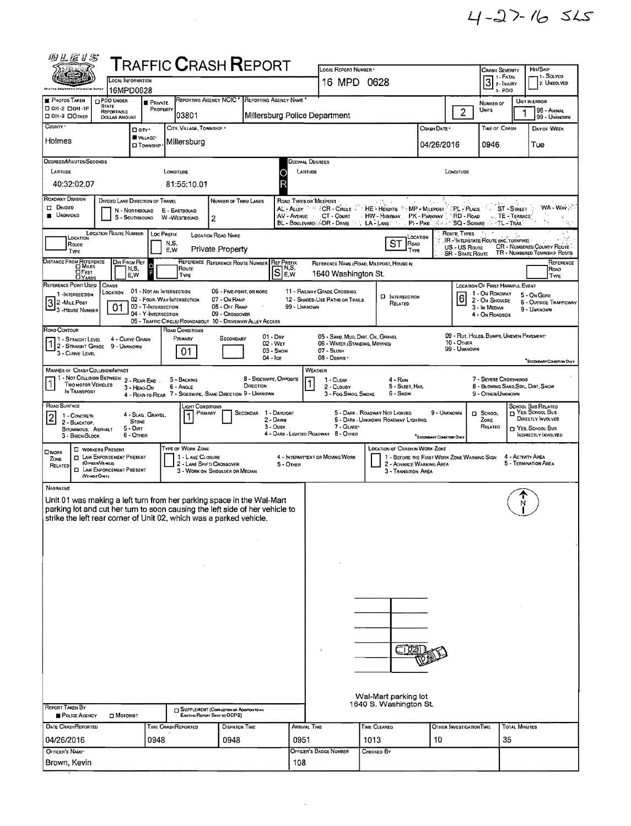| 四丛座》写                                                                                                                                                                                                          |                                                                                                                            |                                                   |                                               | <b>TRAFFIC CRASH REPORT</b>                                                   |                                                     |                                                                    |                                                                                                                             |                                 |                          |                                                                                                                                                                                                                      |                   |                                          |  |  |  |
|----------------------------------------------------------------------------------------------------------------------------------------------------------------------------------------------------------------|----------------------------------------------------------------------------------------------------------------------------|---------------------------------------------------|-----------------------------------------------|-------------------------------------------------------------------------------|-----------------------------------------------------|--------------------------------------------------------------------|-----------------------------------------------------------------------------------------------------------------------------|---------------------------------|--------------------------|----------------------------------------------------------------------------------------------------------------------------------------------------------------------------------------------------------------------|-------------------|------------------------------------------|--|--|--|
|                                                                                                                                                                                                                |                                                                                                                            |                                                   |                                               |                                                                               |                                                     | LOCAL REPORT NUMBER                                                |                                                                                                                             |                                 |                          | CRASH SEVERITY<br>  1 - Fatal                                                                                                                                                                                        |                   | Hm/SKIP<br>1 - Solved                    |  |  |  |
|                                                                                                                                                                                                                | LOCAL INFORMATION<br>16MPD0628                                                                                             |                                                   |                                               |                                                                               |                                                     | 16 MPD 0628                                                        |                                                                                                                             |                                 |                          | $3$ $\overline{\phantom{1}}$ $\overline{\phantom{1}}$ $\overline{\phantom{1}}$ $\overline{\phantom{1}}$ $\overline{\phantom{1}}$ $\overline{\phantom{1}}$ $\overline{\phantom{1}}$ $\overline{\phantom{1}}$<br>3-PDO |                   | 2. UNSOLVED                              |  |  |  |
| <b>PHOTOS TAKEN</b>                                                                                                                                                                                            | <b>CIPDO UNDER</b>                                                                                                         | <b>B</b> PRIVATE                                  |                                               | REPORTING AGENCY NCIC <sup>*</sup> REPORTING AGENCY NAME <sup>*</sup>         |                                                     |                                                                    |                                                                                                                             |                                 |                          | NUMBER OF                                                                                                                                                                                                            | UNIT IN ERROR     |                                          |  |  |  |
| □ 0H-2 □ 0H-1P<br>DOH-3 DOTHER                                                                                                                                                                                 | <b>STATE</b><br>REPORTABLE<br>DOLLAR AMOUNT                                                                                | PROPERTY                                          | 03801                                         |                                                                               | Millersburg Police Department                       |                                                                    |                                                                                                                             |                                 | $\overline{c}$           | Umis                                                                                                                                                                                                                 |                   | 98 - ANIMAL<br>  99 - Unknown            |  |  |  |
| COUNTY .                                                                                                                                                                                                       | □ city•                                                                                                                    |                                                   | CITY, VILLAGE, TOWNSHIP                       |                                                                               |                                                     |                                                                    |                                                                                                                             | Crash Date *                    |                          | <b>TIME OF CRASH</b>                                                                                                                                                                                                 |                   | DAY OF WEEK                              |  |  |  |
| Holmes                                                                                                                                                                                                         |                                                                                                                            | WILLAGE*                                          | Millersburg                                   |                                                                               |                                                     |                                                                    |                                                                                                                             |                                 |                          |                                                                                                                                                                                                                      |                   |                                          |  |  |  |
|                                                                                                                                                                                                                |                                                                                                                            | <b>CI TOWNSHIP</b>                                |                                               |                                                                               |                                                     |                                                                    |                                                                                                                             | 04/26/2016                      |                          | 0946                                                                                                                                                                                                                 |                   | Tue                                      |  |  |  |
| <b>DEGREES/MINUTES/SECONDS</b><br>Decimal Degrees<br>LONGITUDE                                                                                                                                                 |                                                                                                                            |                                                   |                                               |                                                                               |                                                     |                                                                    |                                                                                                                             |                                 |                          |                                                                                                                                                                                                                      |                   |                                          |  |  |  |
| LARTUDE                                                                                                                                                                                                        |                                                                                                                            |                                                   |                                               |                                                                               | LATITUDE                                            |                                                                    |                                                                                                                             |                                 | LONGITUDE                |                                                                                                                                                                                                                      |                   |                                          |  |  |  |
| 40:32:02.07                                                                                                                                                                                                    |                                                                                                                            |                                                   | 81:55:10.01                                   |                                                                               | Р                                                   |                                                                    |                                                                                                                             |                                 |                          |                                                                                                                                                                                                                      |                   |                                          |  |  |  |
| ROADWAY DIVISION<br><b>DIVIDED</b>                                                                                                                                                                             | DIVIDED LANE DIRECTION OF TRAVEL                                                                                           |                                                   |                                               | NUMBER OF THRU LANES                                                          | ROAD TYPES OR MILEPOST                              |                                                                    |                                                                                                                             |                                 |                          |                                                                                                                                                                                                                      |                   | WA - Way                                 |  |  |  |
| <b>E</b> UNDIVIDED                                                                                                                                                                                             | N - NORTHBOUND                                                                                                             | S - SOUTHBOUND W - WESTBOUND                      | E - EASTBOUND<br>2                            |                                                                               | AV-Avenue CT-Court                                  |                                                                    | AL-ALLEY THE CIRCLE FOR HE FHEIGHTS THAT HALLEPOST TIPLY PLACE. THE ST. - ST. - STREET<br>HW HIGHLAY PK - PARKWAY PD - ROAD |                                 |                          | TE - TERRACE'                                                                                                                                                                                                        |                   |                                          |  |  |  |
|                                                                                                                                                                                                                |                                                                                                                            |                                                   |                                               |                                                                               |                                                     |                                                                    | BL - BOULEVARD ADR - DRIVE TO LA - LANE COLOR PINE AS AND SCIANCE OF THE - TRAIL                                            |                                 |                          |                                                                                                                                                                                                                      |                   |                                          |  |  |  |
| LOCATION ROUTE NUMBER   LOC PREFIX<br>ROUTE TYPES<br>LOCATION ROAD NAME<br>LOCATION<br>LOCATION<br>IR - INTERSTATE ROUTE (INC. TURNPIKE)<br>ST<br>ROAD<br>N,S.<br>Route                                        |                                                                                                                            |                                                   |                                               |                                                                               |                                                     |                                                                    |                                                                                                                             |                                 |                          |                                                                                                                                                                                                                      |                   |                                          |  |  |  |
| <b>CR - NUMBERED COUNTY ROUTE</b><br>US-US ROUTE<br>Private Property<br>E, W<br>TYPE<br>TYPE<br>TR - NUMBERED TOWNSHIP ROUTE<br><b>SR - STATE ROUTE</b>                                                        |                                                                                                                            |                                                   |                                               |                                                                               |                                                     |                                                                    |                                                                                                                             |                                 |                          |                                                                                                                                                                                                                      |                   |                                          |  |  |  |
| DISTANCE FROM REFERENCE<br><b>DIR FROM REF</b><br>REFERENCE REFERENCE ROUTE NUMBER<br><b>REF PREFIX</b><br>REFERENCE<br>REFERENCE NAME (ROAD, MILEPOST, HOUSE #)<br>$\Omega$<br>IN S.<br>N,S,<br>Route<br>ROAD |                                                                                                                            |                                                   |                                               |                                                                               |                                                     |                                                                    |                                                                                                                             |                                 |                          |                                                                                                                                                                                                                      |                   |                                          |  |  |  |
| SE.w<br><b>OFEET</b><br>1640 Washington St.<br>E.W<br>TYPE<br>TYPE                                                                                                                                             |                                                                                                                            |                                                   |                                               |                                                                               |                                                     |                                                                    |                                                                                                                             |                                 |                          |                                                                                                                                                                                                                      |                   |                                          |  |  |  |
| REFERENCE POINT USED<br>1-INTERSECTION                                                                                                                                                                         | CRASH<br>LOCATION                                                                                                          | 01 - NOT AN INTERSECTION                          |                                               | 06 - FIVE-POINT, OR MORE                                                      |                                                     | 11 - RAILWAY GRADE CROSSING                                        | <b>D</b> INTERSECTION                                                                                                       |                                 |                          | LOCATION OF FIRST HARMFUL EVENT<br>1 - On Roadway                                                                                                                                                                    |                   | 5 - On GORE                              |  |  |  |
| 32 - Mile Post<br>- 3 - House Number                                                                                                                                                                           | 01                                                                                                                         | 02 - FOUR-WAY INTERSECTION<br>03 - T-INTERSECTION |                                               | 07 - On RAMP<br>08 - Off RAMP                                                 | 99 - UNKNOWN                                        | 12 - SHARED-USE PATHS OR TRAILS                                    | RELATED                                                                                                                     |                                 | 6                        | 2 - ON SHOULDE<br>3 - In MEDIAN                                                                                                                                                                                      |                   | 6 - OUTSIDE TRAFFICWAY<br>9 - UNKNOWN    |  |  |  |
|                                                                                                                                                                                                                |                                                                                                                            | 04 - Y-INTERSECTION                               |                                               | 09 - CROSSOVER<br>05 - TRAFFIC CIRCLE/ ROUNDABOUT 10 - DRIVEWAY/ ALLEY ACCESS |                                                     |                                                                    |                                                                                                                             |                                 |                          | 4 - On ROADSIDE                                                                                                                                                                                                      |                   |                                          |  |  |  |
| ROAD CONTOUR                                                                                                                                                                                                   |                                                                                                                            |                                                   | ROAD CONDITIONS                               |                                                                               |                                                     |                                                                    |                                                                                                                             |                                 |                          |                                                                                                                                                                                                                      |                   |                                          |  |  |  |
| 1 - Straight Level<br>1 2 - STRAIGHT GRADE 9 - UNKNOWN                                                                                                                                                         | 4 - CURVE GRADE                                                                                                            |                                                   | Primary                                       | $01 - \text{Dry}$<br>SECONDARY<br>02 - WET                                    |                                                     | 05 - SAND, MUD, DIRT, OIL, GRAVEL<br>06 - WATER (STANDING, MOVING) |                                                                                                                             |                                 | 10 - OTHER               | 09 - RUT, HOLES, BUMPS, UNEVEN PAVEMENT*                                                                                                                                                                             |                   |                                          |  |  |  |
| 3 - CURVE LEVEL                                                                                                                                                                                                |                                                                                                                            |                                                   | 01                                            | $04 - i$ ce                                                                   | $03 -$ SNOW                                         | 07 - SLUSH<br>08 - DEBRIS                                          |                                                                                                                             |                                 | 99 - Unknown             |                                                                                                                                                                                                                      |                   | "SECONDARY CONDITION DIALY               |  |  |  |
| <b>MANNER OF CRASH COLLISION/IMPACT</b>                                                                                                                                                                        |                                                                                                                            |                                                   |                                               |                                                                               |                                                     | WEATHER                                                            |                                                                                                                             |                                 |                          |                                                                                                                                                                                                                      |                   |                                          |  |  |  |
| TWO MOTOR VEHICLES                                                                                                                                                                                             | 1 - Not Collision Between 2 - Rear-End                                                                                     |                                                   | 5 - BACKING                                   | 8 - SIDESWIPE, OPPOSITE<br><b><i><u>DIRECTION</u></i></b>                     |                                                     | 1 - CLEAR                                                          | $4 - R_{AlN}$<br>5 - Sleet, Hail                                                                                            |                                 |                          | 7 - SEVERE CROSSWINDS<br>8 - BLOWING SAND, SOIL, DIRT, SNOW                                                                                                                                                          |                   |                                          |  |  |  |
| IN TRANSPORT                                                                                                                                                                                                   | 3 - HEAD-ON                                                                                                                |                                                   | 6 - Angle                                     | 4 - REAR-TO-REAR 7 - SIDESWIPE, SAME DIRECTION 9 - UNKNOWN                    |                                                     | 2 - CLOUDY<br>3 - Fog.Smog.Smoke                                   | 6 - SNDW                                                                                                                    |                                 |                          | 9 - OTHER/UNKNOWN                                                                                                                                                                                                    |                   |                                          |  |  |  |
| ROAD SURFACE                                                                                                                                                                                                   |                                                                                                                            |                                                   | Light Conditions                              |                                                                               |                                                     |                                                                    |                                                                                                                             |                                 |                          |                                                                                                                                                                                                                      |                   | SCHOOL BUS RELATED<br>T YES, SCHOOL BUS  |  |  |  |
| 1 - CONCRETE<br>$\vert$ 2<br>2 - BLACKTOP,                                                                                                                                                                     | <b>STONE</b>                                                                                                               | 4 - SLAG. GRAVEL.                                 | PRIMARY                                       | SECONDAR 1 - DAYLIGHT                                                         | 2 - Dawn                                            |                                                                    | 5 - DARK - ROADWAY NOT LIGHTED<br>5 - DARK - UNKNOWN ROADWAY LIGHTING                                                       | 9 - UNKNOWN                     |                          | El School<br>ZONE                                                                                                                                                                                                    |                   | DIRECTLY INVOLVED                        |  |  |  |
| BITUMINOUS, ASPHALT<br>3 - BRICK/BLOCK                                                                                                                                                                         | $5 - D$<br>6 - OTHER                                                                                                       |                                                   |                                               |                                                                               | $3 - D$ usk<br>4 - DARK - LIGHTED ROADWAY 8 - OTHER | 7 - GLARE                                                          |                                                                                                                             | <b>SECONDARY CONDITION ONLY</b> |                          | RELATED                                                                                                                                                                                                              |                   | □ YES, SCHOOL Bus<br>INDIRECTLY INVOLVED |  |  |  |
| OWORK                                                                                                                                                                                                          | <b>U</b> WORKERS PRESENT                                                                                                   |                                                   | TYPE OF WORK ZONE                             |                                                                               |                                                     |                                                                    | <b>LOCATION OF CRASH IN WORK ZONE</b>                                                                                       |                                 |                          |                                                                                                                                                                                                                      |                   |                                          |  |  |  |
| ZONE<br>(OFFICER VEHICLE)                                                                                                                                                                                      | <b>D</b> LAW ENFORCEMENT PRESENT                                                                                           |                                                   | 1 - LANE CLOSURE<br>2 - LANE SHIFT/ CROSSOVER |                                                                               | 5 - OTHER                                           | 4 - INTERMITTENT OR MOVING WORK                                    | 1 - BEFORE THE FIRST WORK ZONE WARNING SIGN<br>2 - ADVANCE WARNING AREA                                                     |                                 |                          |                                                                                                                                                                                                                      | 4 - ACTIVITY AREA | 5 - TERMINATION AREA                     |  |  |  |
| RELATED<br>(VENCLE ONLY)                                                                                                                                                                                       | <b>EL LAW ENFORCEMENT PRESENT</b>                                                                                          |                                                   | 3 - WORK ON SHOULDER OR MEDIAN                |                                                                               |                                                     |                                                                    | 3 - TRANSITION AREA                                                                                                         |                                 |                          |                                                                                                                                                                                                                      |                   |                                          |  |  |  |
| NARRATIVE                                                                                                                                                                                                      |                                                                                                                            |                                                   |                                               |                                                                               |                                                     |                                                                    |                                                                                                                             |                                 |                          |                                                                                                                                                                                                                      |                   |                                          |  |  |  |
|                                                                                                                                                                                                                |                                                                                                                            |                                                   |                                               | Unit 01 was making a left turn from her parking space in the Wal-Mart         |                                                     |                                                                    |                                                                                                                             |                                 |                          |                                                                                                                                                                                                                      |                   |                                          |  |  |  |
|                                                                                                                                                                                                                |                                                                                                                            |                                                   |                                               | parking lot and cut her turn to soon causing the left side of her vehicle to  |                                                     |                                                                    |                                                                                                                             |                                 |                          |                                                                                                                                                                                                                      |                   |                                          |  |  |  |
| strike the left rear corner of Unit 02, which was a parked vehicle.                                                                                                                                            |                                                                                                                            |                                                   |                                               |                                                                               |                                                     |                                                                    |                                                                                                                             |                                 |                          |                                                                                                                                                                                                                      |                   |                                          |  |  |  |
|                                                                                                                                                                                                                |                                                                                                                            |                                                   |                                               |                                                                               |                                                     |                                                                    |                                                                                                                             |                                 |                          |                                                                                                                                                                                                                      |                   |                                          |  |  |  |
|                                                                                                                                                                                                                |                                                                                                                            |                                                   |                                               |                                                                               |                                                     |                                                                    |                                                                                                                             |                                 |                          |                                                                                                                                                                                                                      |                   |                                          |  |  |  |
|                                                                                                                                                                                                                |                                                                                                                            |                                                   |                                               |                                                                               |                                                     |                                                                    |                                                                                                                             |                                 |                          |                                                                                                                                                                                                                      |                   |                                          |  |  |  |
|                                                                                                                                                                                                                |                                                                                                                            |                                                   |                                               |                                                                               |                                                     |                                                                    |                                                                                                                             |                                 |                          |                                                                                                                                                                                                                      |                   |                                          |  |  |  |
|                                                                                                                                                                                                                |                                                                                                                            |                                                   |                                               |                                                                               |                                                     |                                                                    |                                                                                                                             |                                 |                          |                                                                                                                                                                                                                      |                   |                                          |  |  |  |
|                                                                                                                                                                                                                |                                                                                                                            |                                                   |                                               |                                                                               |                                                     |                                                                    |                                                                                                                             |                                 |                          |                                                                                                                                                                                                                      |                   |                                          |  |  |  |
|                                                                                                                                                                                                                |                                                                                                                            |                                                   |                                               |                                                                               |                                                     |                                                                    |                                                                                                                             |                                 |                          |                                                                                                                                                                                                                      |                   |                                          |  |  |  |
|                                                                                                                                                                                                                |                                                                                                                            |                                                   |                                               |                                                                               |                                                     |                                                                    |                                                                                                                             |                                 |                          |                                                                                                                                                                                                                      |                   |                                          |  |  |  |
|                                                                                                                                                                                                                |                                                                                                                            |                                                   |                                               |                                                                               |                                                     |                                                                    |                                                                                                                             |                                 |                          |                                                                                                                                                                                                                      |                   |                                          |  |  |  |
|                                                                                                                                                                                                                |                                                                                                                            |                                                   |                                               |                                                                               |                                                     | - 11                                                               |                                                                                                                             |                                 |                          |                                                                                                                                                                                                                      |                   |                                          |  |  |  |
|                                                                                                                                                                                                                |                                                                                                                            |                                                   |                                               |                                                                               |                                                     |                                                                    |                                                                                                                             |                                 |                          |                                                                                                                                                                                                                      |                   |                                          |  |  |  |
|                                                                                                                                                                                                                |                                                                                                                            |                                                   |                                               |                                                                               |                                                     |                                                                    |                                                                                                                             |                                 |                          |                                                                                                                                                                                                                      |                   |                                          |  |  |  |
|                                                                                                                                                                                                                |                                                                                                                            |                                                   |                                               |                                                                               |                                                     |                                                                    |                                                                                                                             |                                 |                          |                                                                                                                                                                                                                      |                   |                                          |  |  |  |
| Wal-Mart parking lot<br>1640 S. Washington St.                                                                                                                                                                 |                                                                                                                            |                                                   |                                               |                                                                               |                                                     |                                                                    |                                                                                                                             |                                 |                          |                                                                                                                                                                                                                      |                   |                                          |  |  |  |
| POLICE AGENCY                                                                                                                                                                                                  | REPORT TAKEN BY<br><b>TJ SUPPLEMENT (CORRECTION OR ADDITION TO AN</b><br><b>D</b> MOTORIST<br>Easting Report Sent to ODPS) |                                                   |                                               |                                                                               |                                                     |                                                                    |                                                                                                                             |                                 |                          |                                                                                                                                                                                                                      |                   |                                          |  |  |  |
| <b>DATE CRASHREPORTED</b>                                                                                                                                                                                      |                                                                                                                            |                                                   | TIME CRASHREPORTED                            | DISPATCH TIME                                                                 | ARRIVAL TIME                                        |                                                                    | TIME CLEARED                                                                                                                |                                 | OTHER INVESTIGATION TIME | <b>TOTAL MINUTES</b>                                                                                                                                                                                                 |                   |                                          |  |  |  |
| 04/26/2016                                                                                                                                                                                                     |                                                                                                                            | 0948                                              |                                               | 0948                                                                          | 0951                                                |                                                                    | 1013<br>10                                                                                                                  |                                 |                          |                                                                                                                                                                                                                      |                   | 35                                       |  |  |  |
| OFFICER'S NAME*                                                                                                                                                                                                |                                                                                                                            |                                                   |                                               |                                                                               |                                                     | OFFICER'S BADGE NUMBER                                             | Снескер Ву                                                                                                                  |                                 |                          |                                                                                                                                                                                                                      |                   |                                          |  |  |  |
| Brown, Kevin                                                                                                                                                                                                   |                                                                                                                            |                                                   |                                               |                                                                               | 108                                                 |                                                                    |                                                                                                                             |                                 |                          |                                                                                                                                                                                                                      |                   |                                          |  |  |  |
|                                                                                                                                                                                                                |                                                                                                                            |                                                   |                                               |                                                                               |                                                     |                                                                    |                                                                                                                             |                                 |                          |                                                                                                                                                                                                                      |                   |                                          |  |  |  |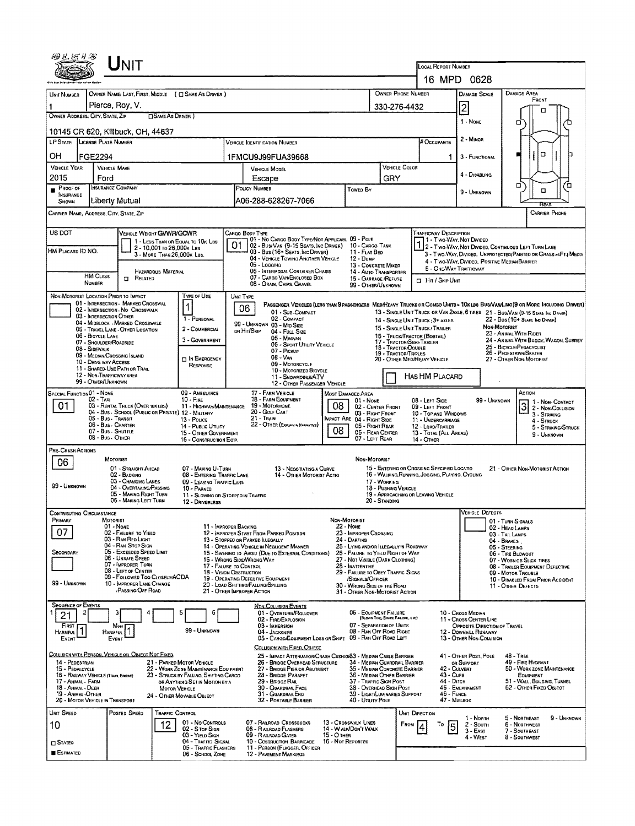| UNIT                                                                                                                    |                                                                                                                                                                                                                                                                                                                                                  |                                                                                        |                            |                                                                                |                                                                              |                                                                                                                                                   |             |                                                                             |                                             |                    |                                                                         | <b>LOCAL REPORT NUMBER</b><br>16 MPD 0628                                                   |                        |                                                                                             |                                                                            |  |  |  |  |
|-------------------------------------------------------------------------------------------------------------------------|--------------------------------------------------------------------------------------------------------------------------------------------------------------------------------------------------------------------------------------------------------------------------------------------------------------------------------------------------|----------------------------------------------------------------------------------------|----------------------------|--------------------------------------------------------------------------------|------------------------------------------------------------------------------|---------------------------------------------------------------------------------------------------------------------------------------------------|-------------|-----------------------------------------------------------------------------|---------------------------------------------|--------------------|-------------------------------------------------------------------------|---------------------------------------------------------------------------------------------|------------------------|---------------------------------------------------------------------------------------------|----------------------------------------------------------------------------|--|--|--|--|
|                                                                                                                         |                                                                                                                                                                                                                                                                                                                                                  |                                                                                        |                            |                                                                                | <b>DAMAGE SCALE</b>                                                          |                                                                                                                                                   |             |                                                                             |                                             |                    |                                                                         |                                                                                             |                        |                                                                                             |                                                                            |  |  |  |  |
| UNIT NUMBER                                                                                                             | OWNER NAME: LAST, FIRST, MIDDLE ( C SAME AS DRIVER )<br>Pierce, Roy, V.                                                                                                                                                                                                                                                                          |                                                                                        |                            |                                                                                |                                                                              |                                                                                                                                                   |             |                                                                             |                                             | OWNER PHONE NUMBER |                                                                         | <b>DAMAGE AREA</b><br>FRONT                                                                 |                        |                                                                                             |                                                                            |  |  |  |  |
| 1<br>OWNER ADDRESS: CITY, STATE, ZIP                                                                                    |                                                                                                                                                                                                                                                                                                                                                  |                                                                                        | <b>CISAME AS DANER 1</b>   |                                                                                |                                                                              |                                                                                                                                                   |             |                                                                             | 330-276-4432                                |                    |                                                                         | $\overline{\mathsf{2}}$                                                                     |                        | п                                                                                           |                                                                            |  |  |  |  |
| 1 None<br>о<br>10145 CR 620, Killbuck, OH, 44637                                                                        |                                                                                                                                                                                                                                                                                                                                                  |                                                                                        |                            |                                                                                |                                                                              |                                                                                                                                                   |             |                                                                             |                                             |                    |                                                                         |                                                                                             |                        |                                                                                             |                                                                            |  |  |  |  |
| LP STATE LICENSE PLATE NUMBER                                                                                           |                                                                                                                                                                                                                                                                                                                                                  |                                                                                        |                            | <b>VEHICLE IDENTIFICATION NUMBER</b>                                           |                                                                              |                                                                                                                                                   |             | # Occupants                                                                 | 2 - MINOR                                   |                    |                                                                         |                                                                                             |                        |                                                                                             |                                                                            |  |  |  |  |
| OН                                                                                                                      | <b>FGE2294</b>                                                                                                                                                                                                                                                                                                                                   |                                                                                        |                            |                                                                                |                                                                              | 1FMCU9J99FUA39668                                                                                                                                 |             |                                                                             |                                             |                    | 1                                                                       | 3 - FUNCTIONAL                                                                              |                        | O                                                                                           |                                                                            |  |  |  |  |
| <b>VEHICLE YEAR</b>                                                                                                     |                                                                                                                                                                                                                                                                                                                                                  | <b>VEHICLE MAKE</b>                                                                    |                            |                                                                                | <b>VEHICLE MODEL</b>                                                         |                                                                                                                                                   |             |                                                                             |                                             | VEHICLE COLOR      |                                                                         | 4 - DISABLING                                                                               |                        |                                                                                             |                                                                            |  |  |  |  |
| 2015<br>PROOF OF                                                                                                        | Ford                                                                                                                                                                                                                                                                                                                                             | <b>INSURANCE COMPANY</b>                                                               |                            |                                                                                | Escape<br>POLICY NUMBER                                                      |                                                                                                                                                   |             |                                                                             | GRY                                         |                    |                                                                         |                                                                                             |                        | $\Box$                                                                                      | Έ                                                                          |  |  |  |  |
| INSURANCE<br>Shown                                                                                                      |                                                                                                                                                                                                                                                                                                                                                  | Liberty Mutual                                                                         |                            |                                                                                | Towep By<br>A06-288-628267-7066                                              |                                                                                                                                                   |             |                                                                             |                                             |                    |                                                                         | 9 - UNKNOWN                                                                                 |                        | □                                                                                           |                                                                            |  |  |  |  |
| CARRIER NAME, ADDRESS, CITY, STATE, ZIP<br><b>CARRIER PHONE</b>                                                         |                                                                                                                                                                                                                                                                                                                                                  |                                                                                        |                            |                                                                                |                                                                              |                                                                                                                                                   |             |                                                                             |                                             |                    |                                                                         |                                                                                             |                        |                                                                                             |                                                                            |  |  |  |  |
| US DOT                                                                                                                  |                                                                                                                                                                                                                                                                                                                                                  | VEHICLE WEIGHT GVWR/GCWR                                                               |                            |                                                                                |                                                                              | CARGO BODY TYPE                                                                                                                                   |             |                                                                             |                                             |                    | <b>TRAFFICWAY DESCRIPTION</b>                                           |                                                                                             |                        |                                                                                             |                                                                            |  |  |  |  |
|                                                                                                                         |                                                                                                                                                                                                                                                                                                                                                  |                                                                                        | 2 - 10,001 to 26,000k Las  | 1 - LESS THAN OR EQUAL TO 10K LBS                                              | 01                                                                           | 01 - No CARGO BODY TYPE/NOT APPLICABL 09 - POLE<br>02 - Bus/Van (9-15 Seats, Inc Driver)                                                          |             | 10 - CARGO TANK                                                             |                                             |                    | 11 - Two Way, Not Divided                                               |                                                                                             |                        | 2 - Two-WAY, NOT DIVIDED, CONTINUOUS LEFT TURN LANE                                         |                                                                            |  |  |  |  |
| HM Placard ID NO.                                                                                                       |                                                                                                                                                                                                                                                                                                                                                  |                                                                                        | 3 - MORE THAN 26,000K LBS. |                                                                                |                                                                              | 03 - Bus (16+ Seats, Inc DRIVER)<br>04 - VEHICLE TOWING ANOTHER VEHICLE                                                                           |             | 11 - FLAT BED<br>$12 - D$ uMP                                               |                                             |                    |                                                                         |                                                                                             |                        | 3 - Two-Way, Divided, Unprotected Painted or Grass >4Ft.) Media                             |                                                                            |  |  |  |  |
|                                                                                                                         | <b>HM CLASS</b>                                                                                                                                                                                                                                                                                                                                  |                                                                                        | <b>HAZARDOUS MATERIAL</b>  |                                                                                |                                                                              | 05 - Logging<br><b>06 - INTERMODAL CONTAINER CHASIS</b>                                                                                           |             | 13 - CONCRETE MIXER<br>14 - AUTO TRANSPORTER                                |                                             |                    | 4 - Two-WAY, DIVIDED, POSITIVE MEDIAN BARRIER<br>5 - ONE-WAY TRAFFICWAY |                                                                                             |                        |                                                                                             |                                                                            |  |  |  |  |
|                                                                                                                         | <b>NUMBER</b>                                                                                                                                                                                                                                                                                                                                    | <b>T</b> RELATED                                                                       |                            |                                                                                |                                                                              | 07 - CARGO VAN/ENGLOSED BOX<br>08 - GRAIN, CHIPS, GRAVEL                                                                                          |             | 15 - GARBAGE / REFUSE<br>99 - OTHER/UNKNOWN                                 |                                             |                    | <b>D</b> Hit / Skip Unit                                                |                                                                                             |                        |                                                                                             |                                                                            |  |  |  |  |
|                                                                                                                         |                                                                                                                                                                                                                                                                                                                                                  | NON-MOTORIST LOCATION PRIOR TO IMPACT                                                  |                            | <b>TYPE OF USE</b>                                                             | UNIT TYPE                                                                    |                                                                                                                                                   |             |                                                                             |                                             |                    |                                                                         |                                                                                             |                        |                                                                                             |                                                                            |  |  |  |  |
|                                                                                                                         | 01 - INTERSECTION - MARKED CROSSWAL<br>PASSENGER VERICLES (LESS THAN SPASSENGERS MEDINEARY TRUCKS OR COMBO UNITS > 10KLBS BUS/VAN/LIMO(9 OR MORE INCLUDING DRIVER)<br>06<br>02 - INTERSECTION - NO CROSSWALK<br>01 - Sub-COMPACT<br>13 - SINGLE UNIT TRUCK OR VAN 2AXLE, 6 TIRES 21 - BUS/VAN (9-15 Seats, INC DANER)<br>03 - INTERSECTION OTHER |                                                                                        |                            |                                                                                |                                                                              |                                                                                                                                                   |             |                                                                             |                                             |                    |                                                                         |                                                                                             |                        |                                                                                             |                                                                            |  |  |  |  |
|                                                                                                                         |                                                                                                                                                                                                                                                                                                                                                  | 04 - MIDBLOCK - MARKED CROSSWALK<br>05 - TRAVEL LANE - OTHER LOCATION                  |                            | 1 - PERSONAL<br>2 - COMMERCIAL                                                 |                                                                              | 02 - COMPACT<br>99 - UNKNOWN 03 - MID SIZE<br>OR HIT/SKIP<br>04 - Full Size                                                                       |             |                                                                             |                                             |                    | 14 - SINGLE UNIT TRUCK : 3+ AXLES<br>15 - SINGLE UNIT TRUCK / TRAILER   |                                                                                             | NON-MOTORIST           | 22 - Bus (16+ Seats, Inc Driver)                                                            |                                                                            |  |  |  |  |
|                                                                                                                         | 06 - BICYCLE LANE                                                                                                                                                                                                                                                                                                                                | 07 - SHOULDER/ROADSIDE                                                                 |                            | 3 - GOVERNMENT                                                                 |                                                                              | 05 - Minivan<br>06 - SPORT UTILITY VEHICLE                                                                                                        |             |                                                                             | 17 - TRACTOR/SEMI-TRAILER                   |                    | 15 - TRUCK/TRACTOR (BOSTAIL)                                            |                                                                                             |                        | 23 - ANIMAL WITH RIDER<br>24 - ANIMAL WITH BUGGY, WAGON, SURREY<br>25 - BICYCLE/PEDACYCLIST |                                                                            |  |  |  |  |
|                                                                                                                         | 08 - SIDEWALK                                                                                                                                                                                                                                                                                                                                    | 09 - MEDIAN/CROSSING ISLAND                                                            |                            | <b>DIN EMERGENCY</b>                                                           |                                                                              | 07 - Pickup<br>$08 - V_{AB}$                                                                                                                      |             |                                                                             | 18 - TRACTOR/DOUBLE<br>19 - TRACTOR/TRIPLES |                    |                                                                         |                                                                                             |                        |                                                                                             |                                                                            |  |  |  |  |
|                                                                                                                         | 10 - DRIVE WAY ACCESS                                                                                                                                                                                                                                                                                                                            | 11 - SHARED-USE PATH OR TRAIL                                                          |                            | RESPONSE                                                                       | 09 - MOTORCYCLE<br>10 - Moronizeo Bicycle                                    |                                                                                                                                                   |             |                                                                             |                                             |                    | 20 - OTHER MEDIMEAVY VEHICLE                                            |                                                                                             |                        | 27 - OTHER NON-MOTORIST                                                                     |                                                                            |  |  |  |  |
| 12 - NON-TRAFFICWAY AREA<br>Has HM Placard<br>11 - SNOWMOBILE/ATV<br>99 - OTHER/UNKNOWN<br>12 - OTHER PASSENGER VEHICLE |                                                                                                                                                                                                                                                                                                                                                  |                                                                                        |                            |                                                                                |                                                                              |                                                                                                                                                   |             |                                                                             |                                             |                    |                                                                         |                                                                                             |                        |                                                                                             |                                                                            |  |  |  |  |
| SPECIAL FUNCTION 01 - NONE                                                                                              | $02 - TAXI$                                                                                                                                                                                                                                                                                                                                      |                                                                                        |                            | 09 - AMBULANCE<br>$10 -$ Fine                                                  | 17 - FARM VEHICLE<br>MOST DAMAGED AREA<br>18 - FARM EQUIPMENT<br>$01 - None$ |                                                                                                                                                   |             |                                                                             |                                             |                    | 08 - LEFT SIDE                                                          |                                                                                             | 99 - Unknown           | Аспри                                                                                       |                                                                            |  |  |  |  |
| 01.                                                                                                                     |                                                                                                                                                                                                                                                                                                                                                  | 03 - RENTAL TRUCK (OVER 10KLBS)<br>04 - Bus - School (Public or Private) 12 - Military |                            | 11 - HIGHWAY/MAINTENANCE                                                       | 08<br>19 - Мотокноме<br>20 - Golf Cart                                       |                                                                                                                                                   |             |                                                                             | 02 - CENTER FRONT<br>03 - RIGHT FRONT       |                    | 09 - LEFT FRONT<br>10 - TOP AND WINDOWS                                 |                                                                                             |                        |                                                                                             | 1 - Non- Contact<br>3 2 - Non-Contact<br>2 - Non-Collision<br>3 - STRIKING |  |  |  |  |
|                                                                                                                         |                                                                                                                                                                                                                                                                                                                                                  | 05 - Bus - Transit<br>06 - Bus - Charter                                               |                            | 13 - Pouce<br>14 - Pusuc Unuty                                                 |                                                                              | $21 -$ Train<br>22 - OTHER (EXPLAININ NARRATIVE)                                                                                                  |             | IMPACT ARE 04 - RIGHT SIDE<br>05 - RIGHT REAR                               |                                             |                    | 11 - UNDERCARRIAGE<br>12 - LOAD/TRAILER                                 |                                                                                             |                        | 4 - STRUCK                                                                                  | 5 - Striking/Struck                                                        |  |  |  |  |
|                                                                                                                         |                                                                                                                                                                                                                                                                                                                                                  | 07 - Bus - SHUTTLE<br>08 - Bus. OTHER                                                  |                            | 15 - OTHER GOVERNMENT<br>16 - CONSTRUCTION EOIP.                               | 80<br>06 - REAR CENTER<br>07 - LEFT REAR                                     |                                                                                                                                                   |             |                                                                             |                                             |                    | 13 - TOTAL (ALL AREAS)<br>14 - OTHER                                    |                                                                                             |                        |                                                                                             | 9 - UNKNOWN                                                                |  |  |  |  |
| PRE-CRASH ACTIONS                                                                                                       |                                                                                                                                                                                                                                                                                                                                                  |                                                                                        |                            |                                                                                |                                                                              |                                                                                                                                                   |             |                                                                             |                                             |                    |                                                                         |                                                                                             |                        |                                                                                             |                                                                            |  |  |  |  |
| 06                                                                                                                      |                                                                                                                                                                                                                                                                                                                                                  | MOTORIST<br>01 - STRAIGHT AHEAD                                                        |                            | 07 - MAKING U-TURN                                                             |                                                                              | 13 - NEGOTIATING A CURVE                                                                                                                          |             | NON-MOTORIST                                                                |                                             |                    | 15 - ENTERING OR CROSSING SPECIFIED LOCATIO                             |                                                                                             |                        | 21 - OTHER NON-MOTORIST ACTION                                                              |                                                                            |  |  |  |  |
|                                                                                                                         |                                                                                                                                                                                                                                                                                                                                                  | 02 - BACKING<br>03 - CHANGING LANES                                                    |                            | 08 - ENTERING TRAFFIC LANE<br>09 - LEAVING TRAFFIC LANE                        |                                                                              | 14 - OTHER MOTORIST ACTIO                                                                                                                         |             |                                                                             | 17 - WORKING                                |                    | 16 - WALKING RUNNING, JOGGING, PLAYING, CYCLING                         |                                                                                             |                        |                                                                                             |                                                                            |  |  |  |  |
| 99 - UNKNOWN                                                                                                            |                                                                                                                                                                                                                                                                                                                                                  | 04 - OVERTAKING/PASSING<br>05 - MAKING RIGHT TURN                                      |                            | 10 - PARKED<br>11 - Slowing or Stopped in Traffic                              |                                                                              |                                                                                                                                                   |             |                                                                             | 18 - Pushing Vehicle                        |                    | 19 - APPROACHING OR LEAVING VEHICLE                                     |                                                                                             |                        |                                                                                             |                                                                            |  |  |  |  |
|                                                                                                                         |                                                                                                                                                                                                                                                                                                                                                  | 06 - MAKING LEFT TURN                                                                  |                            | 12 - DRIVERLESS                                                                |                                                                              |                                                                                                                                                   |             |                                                                             | 20 - STANDING                               |                    |                                                                         |                                                                                             | <b>VEHICLE DEFECTS</b> |                                                                                             |                                                                            |  |  |  |  |
| <b>CONTRIBUTING CIRCUMSTANCE</b><br>PRIMARY                                                                             |                                                                                                                                                                                                                                                                                                                                                  | MOTORIST<br>01 - NONE                                                                  |                            | 11 - IMPROPER BACKING                                                          |                                                                              |                                                                                                                                                   |             | Non-Motorist<br><b>22 - NONE</b>                                            |                                             |                    |                                                                         |                                                                                             |                        | 01 - TURN SIGNALS                                                                           |                                                                            |  |  |  |  |
| 07                                                                                                                      |                                                                                                                                                                                                                                                                                                                                                  | 02 - FAILURE TO YIELD<br>03 - RAN RED LIGHT                                            |                            |                                                                                |                                                                              | 12 - IMPROPER START FROM PARKED POSITION<br>13 - STOPPED OR PARKED ILLEGALLY                                                                      |             | 23 - IMPROPER CROSSING<br>24 - DARTING                                      |                                             |                    |                                                                         |                                                                                             |                        | 02 - HEAD LAMPS<br>03 - TAIL LAMPS                                                          |                                                                            |  |  |  |  |
| SECONDARY                                                                                                               |                                                                                                                                                                                                                                                                                                                                                  | 04 - RAN STOP SIGN<br>05 - Exceeded Speed Limit                                        |                            |                                                                                |                                                                              | 14 - OPERATING VEHICLE IN NEGLIGENT MANNER<br>15 - Swering to Avoid (Due to External Conditions)                                                  |             | 25 - LYING AND OR ILLEGALLY IN ROADWAY<br>26 - FALURE TO YIELD RIGHT OF WAY |                                             |                    |                                                                         |                                                                                             | 04 - BRAKES            | 05 - STEERING                                                                               |                                                                            |  |  |  |  |
|                                                                                                                         |                                                                                                                                                                                                                                                                                                                                                  | 06 - Unsafe Speed<br>07 - IMPROPER TURN                                                |                            |                                                                                |                                                                              | 16 - Wrong Side/Wrong Way                                                                                                                         |             | 27 - Not Visible (DARK CLOTHING)<br>28 - INATTENTIVE                        |                                             |                    |                                                                         |                                                                                             |                        | 06 - TIRE BLOWOUT<br>07 - WORN OR SLICK TIRES                                               |                                                                            |  |  |  |  |
|                                                                                                                         |                                                                                                                                                                                                                                                                                                                                                  | 08 - LEFT OF CENTER<br>09 - FOLLOWED TOO CLOSELY/ACDA                                  |                            |                                                                                |                                                                              | 17 - FALURE TO CONTROL<br>18 - VISION OBSTRUCTION<br>29 - FAILURE TO OBEY TRAFFIC SIGNS<br>19 - OPERATING DEFECTIVE EQUIPMENT<br>/SIGNALS/OFFICER |             |                                                                             |                                             |                    |                                                                         | 08 - TRAILER EQUIPMENT DEFECTIVE<br>09 - Motor TrousLe<br>10 - DISABLED FROM PRIOR ACCIDENT |                        |                                                                                             |                                                                            |  |  |  |  |
| 99 - UNKNOWN                                                                                                            |                                                                                                                                                                                                                                                                                                                                                  | 10 - IMPROPER LANE CHANGE<br>(PASSING/OFF ROAD                                         |                            |                                                                                |                                                                              | 20 - LOAD SHIFTING/FALLING/SPILLING<br>21 - OTHER IMPROPER ACTION                                                                                 |             | 30 - WRONG SIDE OF THE ROAD<br>31 - OTHER NON-MOTORIST ACTION               |                                             |                    |                                                                         |                                                                                             |                        | 11 - OTHER DEFECTS                                                                          |                                                                            |  |  |  |  |
| <b>SEQUENCE OF EVENTS</b>                                                                                               |                                                                                                                                                                                                                                                                                                                                                  |                                                                                        |                            |                                                                                |                                                                              | NON-COLLISION EVENTS                                                                                                                              |             |                                                                             |                                             |                    |                                                                         |                                                                                             |                        |                                                                                             |                                                                            |  |  |  |  |
| 21                                                                                                                      |                                                                                                                                                                                                                                                                                                                                                  |                                                                                        |                            | 6                                                                              |                                                                              | 01 - OVERTURN/ROLLOVER<br>02 - FIRE/EXPLOSION                                                                                                     |             | <b>06 - EQUIPMENT FAILURE</b>                                               | (BLOWN TIRE, BRAKE FAILIRE, ETC)            |                    |                                                                         | 10 - Cross Median<br>11 - CROSS CENTER LINE                                                 |                        |                                                                                             |                                                                            |  |  |  |  |
| FIRST<br><b>HARMFUL</b>                                                                                                 |                                                                                                                                                                                                                                                                                                                                                  | Most<br><b>HARMFUL</b>                                                                 |                            | 99 - UNKNOWN                                                                   |                                                                              | 03 - IMMERSION<br>04 - JACKKNIFE                                                                                                                  |             | 07 - SEPARATION OF UNITS<br>08 - RAN OFF ROAD RIGHT                         |                                             |                    |                                                                         | OPPOSITE DIRECTION OF TRAVEL<br>12 - DOWNHILL RUNAWAY                                       |                        |                                                                                             |                                                                            |  |  |  |  |
| EVENT                                                                                                                   |                                                                                                                                                                                                                                                                                                                                                  | EVENT                                                                                  |                            |                                                                                |                                                                              | 05 - CARGO/EQUIPMENT LOSS OR SHIFT 09 - RAN OFF ROAD LEFT<br>COLUSION WITH FIXED, OBJECT                                                          |             |                                                                             |                                             |                    |                                                                         | 13 - OTHER NON-COLLISION                                                                    |                        |                                                                                             |                                                                            |  |  |  |  |
| 14 - PEDESTRIAN                                                                                                         |                                                                                                                                                                                                                                                                                                                                                  | COLLISION WITH PERSON, VEHICLE OR OBJECT NOT FIXED                                     |                            | 21 - PARKED MOTOR VEHICLE                                                      |                                                                              | 25 - IMPACT ATTENUATOR/CRASH CUSHION33 - MEDIAN CABLE BARRIER<br>26 - BRIDGE OVERHEAD STRUCTURE                                                   |             | 34 - Median Guardrail Barrier                                               |                                             |                    |                                                                         | 41 - OTHER POST, POLE<br>OR SUPPORT                                                         |                        | $48 -$ TREE<br>49 - FIRE HYDRANT                                                            |                                                                            |  |  |  |  |
| 15 - PEDALCYCLE                                                                                                         |                                                                                                                                                                                                                                                                                                                                                  | 16 - RAILWAY VEHICLE (TRAIN, ENGINE)                                                   |                            | 22 - WORK ZONE MAINTENANCE EQUIPMENT<br>23 - STRUCK BY FALLING, SHIFTING CARGO |                                                                              | 27 - BRIDGE PIER OR ABUTMENT<br>28 - BRIDGE PARAPET                                                                                               |             | 35 - Median Concrete Barrier<br>36 - MEDIAN OTHER BARRIER                   |                                             |                    | 43 - Cuns                                                               | 42 - CULVERT                                                                                |                        | 50 - WORK ZONE MAINTENANCE<br>EQUIPMENT                                                     |                                                                            |  |  |  |  |
| 17 - ANIMAL - FARM<br>18 - ANIMAL - DEER                                                                                |                                                                                                                                                                                                                                                                                                                                                  |                                                                                        | <b>MOTOR VEHICLE</b>       | OR ANYTHING SET IN MOTION BY A                                                 |                                                                              | 29 - BRIDGE RAIL<br>30 - GUARDRAIL FACE                                                                                                           |             | 37 - TRAFFIC SIGN POST<br>38 - Overhead Sign Post                           |                                             |                    | 44 - Ditch                                                              | 45 - EMBANKMENT                                                                             |                        | 51 - WALL, BUILDING, TUNNEL<br>52 - OTHER FIXED OBJECT                                      |                                                                            |  |  |  |  |
| 19 - ANIMAL OTHER                                                                                                       |                                                                                                                                                                                                                                                                                                                                                  | 20 - MOTOR VEHICLE IN TRANSPORT                                                        |                            | 24 - OTHER MOVABLE OBJECT                                                      |                                                                              | 31 - GUARDRAILEND<br>32 - PORTABLE BARRIER                                                                                                        |             | 39 - LIGHT/LUMINARIES SUPPORT<br>40 - Unury Pole                            |                                             |                    | 46 - FENCE                                                              | 47 MAILBOX                                                                                  |                        |                                                                                             |                                                                            |  |  |  |  |
| UNIT SPEED                                                                                                              |                                                                                                                                                                                                                                                                                                                                                  | POSTED SPEED                                                                           | TRAFFIC CONTROL            |                                                                                |                                                                              |                                                                                                                                                   |             |                                                                             |                                             | UNIT DIRECTION     |                                                                         | 1 - Noath                                                                                   |                        | 5 - Northeast                                                                               | 9 - Unknown                                                                |  |  |  |  |
| 10                                                                                                                      |                                                                                                                                                                                                                                                                                                                                                  |                                                                                        | 12                         | 01 - No CONTROLS<br>02 - S TOP SIGN                                            |                                                                              | 07 - RAILROAD CROSSBUCKS<br>08 - RALROAD FLASHERS                                                                                                 |             | 13 - Crosswalk Lines<br>14 - WALK/DON'T WALK                                |                                             | FROM               | То<br>5                                                                 | 2 - South<br>$3 - East$                                                                     |                        | 6 - NORTHWEST<br>7 - SOUTHEAST                                                              |                                                                            |  |  |  |  |
| $\square$ Stated                                                                                                        |                                                                                                                                                                                                                                                                                                                                                  |                                                                                        |                            | 03 - YIELD SIGN<br>04 - TRAFFIC SIGNAL                                         |                                                                              | 09 - RAILROAD GATES<br>10 - COSTRUCTION BARRICADE                                                                                                 | 15 - О тнев | 16 - Not Reported                                                           |                                             |                    |                                                                         | 4 - West                                                                                    |                        | 8 - Southwest                                                                               |                                                                            |  |  |  |  |
| <b>ESTIMATED</b>                                                                                                        |                                                                                                                                                                                                                                                                                                                                                  |                                                                                        |                            | 05 - TRAFFIC FLASHERS<br>06 - SCHOOL ZONE                                      |                                                                              | 11 - PERSON (FLAGGER, OFFICER<br>12 - PAVEMENT MARKINGS                                                                                           |             |                                                                             |                                             |                    |                                                                         |                                                                                             |                        |                                                                                             |                                                                            |  |  |  |  |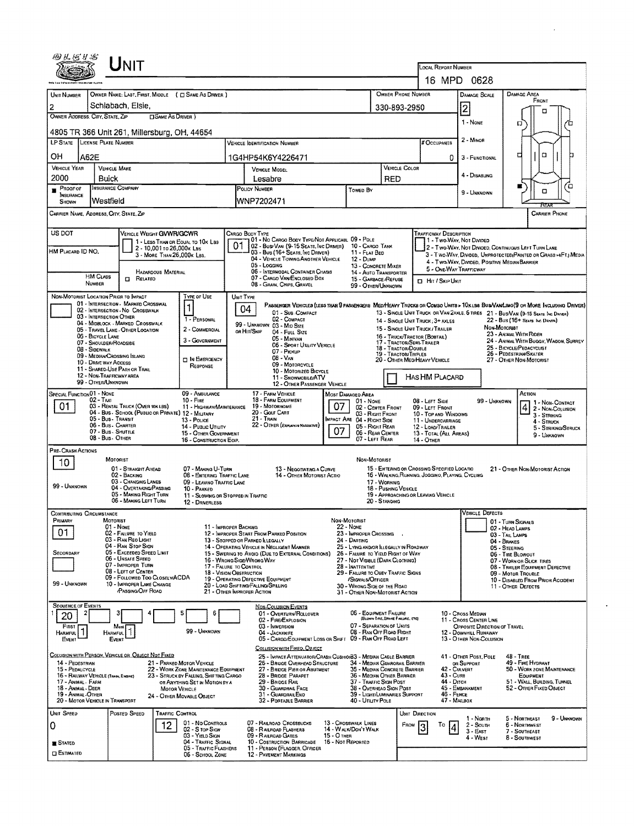|                                                                                                                                                                                                            |                                             | UNIT                                                                                    |                            |                                                                                |                                                                                              |                                                                                                                                    |                                       |                                                           |                                                                                                                                                    |                                             |                                                                                                |                                                                               |              |                                                                                                                          |                                                                   |  |  |
|------------------------------------------------------------------------------------------------------------------------------------------------------------------------------------------------------------|---------------------------------------------|-----------------------------------------------------------------------------------------|----------------------------|--------------------------------------------------------------------------------|----------------------------------------------------------------------------------------------|------------------------------------------------------------------------------------------------------------------------------------|---------------------------------------|-----------------------------------------------------------|----------------------------------------------------------------------------------------------------------------------------------------------------|---------------------------------------------|------------------------------------------------------------------------------------------------|-------------------------------------------------------------------------------|--------------|--------------------------------------------------------------------------------------------------------------------------|-------------------------------------------------------------------|--|--|
|                                                                                                                                                                                                            |                                             |                                                                                         |                            |                                                                                |                                                                                              |                                                                                                                                    |                                       |                                                           |                                                                                                                                                    |                                             | LOCAL REPORT NUMBER<br>16 MPD 0628                                                             |                                                                               |              |                                                                                                                          |                                                                   |  |  |
| UNIT NUMBER                                                                                                                                                                                                |                                             |                                                                                         |                            | OWNER NAME: LAST, FIRST, MIDDLE ( C SAME AS DRIVER )                           |                                                                                              |                                                                                                                                    |                                       |                                                           |                                                                                                                                                    | OWNER PHONE NUMBER                          |                                                                                                | <b>DAMAGE SCALE</b>                                                           |              | <b>DAMAGE AREA</b>                                                                                                       |                                                                   |  |  |
|                                                                                                                                                                                                            |                                             | Schlabach, Elsie,                                                                       |                            |                                                                                |                                                                                              |                                                                                                                                    |                                       |                                                           |                                                                                                                                                    |                                             |                                                                                                |                                                                               |              | FRONT                                                                                                                    |                                                                   |  |  |
| 2<br>OWNER ADDRESS: CITY, STATE, ZIP                                                                                                                                                                       |                                             |                                                                                         | <b>CISAME AS DRIVER</b> )  |                                                                                |                                                                                              |                                                                                                                                    |                                       |                                                           |                                                                                                                                                    | 330-893-2950                                |                                                                                                | 2<br>1 - NONE                                                                 |              |                                                                                                                          | □                                                                 |  |  |
| Ω<br>4805 TR 366 Unit 261, Millersburg, OH, 44654                                                                                                                                                          |                                             |                                                                                         |                            |                                                                                |                                                                                              |                                                                                                                                    |                                       |                                                           |                                                                                                                                                    |                                             |                                                                                                |                                                                               |              |                                                                                                                          |                                                                   |  |  |
| LP STATE LICENSE PLATE NUMBER                                                                                                                                                                              |                                             |                                                                                         |                            |                                                                                |                                                                                              | <b>VEHICLE IDENTIFICATION NUMBER</b>                                                                                               |                                       |                                                           |                                                                                                                                                    |                                             | # Occupants                                                                                    | 2 - MINOR                                                                     |              |                                                                                                                          |                                                                   |  |  |
| OН                                                                                                                                                                                                         | A62E                                        |                                                                                         |                            |                                                                                |                                                                                              | 1G4HP54K6Y4226471                                                                                                                  |                                       |                                                           |                                                                                                                                                    |                                             | 0                                                                                              | □<br>3 - FUNCTIONAL                                                           |              |                                                                                                                          |                                                                   |  |  |
| <b>VEHICLE YEAR</b><br>2000                                                                                                                                                                                | Buick                                       | <b>VEHICLE MAKE</b>                                                                     |                            |                                                                                | VEHICLE MODEL<br>Lesabre                                                                     |                                                                                                                                    |                                       |                                                           | RED                                                                                                                                                | VEHICLE COLOR                               |                                                                                                | 4 - DISABLING                                                                 |              |                                                                                                                          |                                                                   |  |  |
| Proof of<br>INSURANCE                                                                                                                                                                                      |                                             | <b>INSURANCE COMPANY</b>                                                                |                            |                                                                                | <b>POLICY NUMBER</b>                                                                         |                                                                                                                                    |                                       | TOWED BY                                                  |                                                                                                                                                    |                                             |                                                                                                | 9 - Unknown                                                                   |              | ш                                                                                                                        | Έ<br>α                                                            |  |  |
| SHOWN                                                                                                                                                                                                      | Westfield                                   |                                                                                         |                            |                                                                                |                                                                                              | WNP7202471                                                                                                                         |                                       |                                                           |                                                                                                                                                    |                                             |                                                                                                |                                                                               |              |                                                                                                                          |                                                                   |  |  |
| CARRIER NAME, ADDRESS, CITY, STATE, ZIP<br><b>CARRIER PHONE</b>                                                                                                                                            |                                             |                                                                                         |                            |                                                                                |                                                                                              |                                                                                                                                    |                                       |                                                           |                                                                                                                                                    |                                             |                                                                                                |                                                                               |              |                                                                                                                          |                                                                   |  |  |
| US DOT<br>VEHICLE WEIGHT GVWR/GCWR<br><b>TRAFFICWAY DESCRIPTION</b><br>CARGO BODY TYPE<br>01 - No CARGO BODY TYPE/NOT APPLICABL 09 - POLE<br>1 - Two-Way, Not Divided<br>1 - LESS THAN OR EQUAL TO 10K LBS |                                             |                                                                                         |                            |                                                                                |                                                                                              |                                                                                                                                    |                                       |                                                           |                                                                                                                                                    |                                             |                                                                                                |                                                                               |              |                                                                                                                          |                                                                   |  |  |
| HM PLACARD ID NO.                                                                                                                                                                                          |                                             |                                                                                         | 2 - 10,001 to 26,000x Las  |                                                                                | 01                                                                                           | 02 - Busi Van (9-15 Seats, Inc Driver)<br>03 - Bus (16+ Seats, Inc Driver)                                                         |                                       | 10 - CARGO TANK<br>11 - FLAT BED                          |                                                                                                                                                    |                                             |                                                                                                |                                                                               |              | 2 - Two-Way, Not Divided, Continuous Left Turn Lane                                                                      |                                                                   |  |  |
|                                                                                                                                                                                                            |                                             |                                                                                         | 3 - MORE THAN 26,000K LBS. |                                                                                |                                                                                              | 04 - VEHICLE TOWING ANOTHER VEHICLE<br>05 - Logging                                                                                |                                       | 12 - Dume                                                 | 13 - CONCRETE MIXER                                                                                                                                |                                             |                                                                                                |                                                                               |              | 4 - TWO-WAY, DIVIDED. POSITIVE MEDIAN BARRIER                                                                            | 3 - T WO-WAY, DIVIDED, UNPROTECTED (PAINTED OR GRASS >4FT.) MEDIA |  |  |
|                                                                                                                                                                                                            | <b>HM CLASS</b>                             | $\Box$ Related                                                                          | <b>HAZARDOUS MATERIAL</b>  |                                                                                |                                                                                              | 05 - INTERMODAL CONTAINER CHASIS<br>07 - CARGO VAN ENCLOSED BOX                                                                    |                                       |                                                           | 14 - AUTO TRANSPORTER<br>15 - GARBAGE /REFUSE                                                                                                      |                                             |                                                                                                | 5 - ONE-WAY TRAFFICWAY<br><b>D</b> Hit / Skip Unit                            |              |                                                                                                                          |                                                                   |  |  |
| NON-MOTORIST LOCATION PRIOR TO IMPACT                                                                                                                                                                      | <b>NUMBER</b>                               |                                                                                         |                            | <b>TYPE OF USE</b>                                                             | UNIT TYPE                                                                                    | 08 - GRAIN, CHIPS, GRAVEL                                                                                                          |                                       | 99 - OTHER/UNKNOWN                                        |                                                                                                                                                    |                                             |                                                                                                |                                                                               |              |                                                                                                                          |                                                                   |  |  |
|                                                                                                                                                                                                            |                                             | 01 - INTERSECTION - MARKED CROSSWAL<br>02 - INTERSECTION - NO CROSSWALK                 |                            |                                                                                |                                                                                              | PASSENGER VEHICLES (LESS THAN 9 PASSENGERS MEDIMEANY TRUCKS OR COMBO UNITS > 10KLBS BUS/VAN/LIMO(9 OR MORE INCLUDING DRIVER)<br>04 |                                       |                                                           |                                                                                                                                                    |                                             |                                                                                                |                                                                               |              |                                                                                                                          |                                                                   |  |  |
|                                                                                                                                                                                                            | 03 - INTERSECTION OTHER                     |                                                                                         |                            | 1 - PERSONAL                                                                   |                                                                                              | 01 - Sub COMPACT<br>02 - COMPACT                                                                                                   |                                       |                                                           |                                                                                                                                                    |                                             | 14 - SINGLE UNIT TRUCK; 3+ AXLES                                                               |                                                                               |              | 13 - SINGLE UNIT TRUCK OR VAN 2AXLE, 6 TIRES 21 - BUSNAN (9-15 SEATS, INC. DRIVER)<br>22 - Bus (16+ Seats, Inc. Drivers) |                                                                   |  |  |
|                                                                                                                                                                                                            |                                             | 04 - MIDBLOCK - MARKED CROSSWALK<br>05 - TRAVEL LANE - OTHER LOCATION                   |                            | 2 - COMMERCIAL                                                                 |                                                                                              | 99 - UNKNOWN 03 - MID SIZE<br>OR HIT/SKIP<br>04 - FULL SIZE                                                                        |                                       |                                                           |                                                                                                                                                    |                                             | 15 - SINGLE UNIT TRUCK / TRAILER                                                               |                                                                               |              |                                                                                                                          |                                                                   |  |  |
|                                                                                                                                                                                                            | 06 - BICYCLE LANE<br>07 - SHOULDER/ROADSIDE |                                                                                         |                            | 3 - COVERNMENT                                                                 |                                                                                              | 05 - MINIVAN<br>06 - Sport UTHITY VEHICLE                                                                                          |                                       |                                                           |                                                                                                                                                    | 17 - TRACTOR/SEMI-TRAILER                   | 16 - TRUCK/TRACTOR (BOBTAIL)                                                                   |                                                                               |              | 23 - ANIMAL WITH RIDER                                                                                                   | 24 - ANIMAL WITH BUGGY, WAGON, SURREY                             |  |  |
|                                                                                                                                                                                                            | 08 - Sidewalk                               | 09 - MEDIAN/CROSSING ISLAND                                                             |                            | <b>DIN EMERGENCY</b>                                                           |                                                                                              | 07 - Pickup<br>$08 - V_{AN}$                                                                                                       |                                       |                                                           |                                                                                                                                                    | 18 - TRACTOR/DOUBLE<br>19 - TRACTOR/TRIPLES | 20 - Other Med/Heavy Vehicle                                                                   | 25 - BICYCLE/PEDACYCLIST<br>26 - PEDESTRIAN/SKATER<br>27 - OTHER NON-MOTORIST |              |                                                                                                                          |                                                                   |  |  |
|                                                                                                                                                                                                            | 10 - DRNE WAY ACCESS                        | 11 - SHARED-USE PATH OR TRAIL                                                           |                            | RESPONSE                                                                       | 09 - MOTORCYCLE<br>10 - MOTORIZED BICYCLE                                                    |                                                                                                                                    |                                       |                                                           |                                                                                                                                                    |                                             |                                                                                                |                                                                               |              |                                                                                                                          |                                                                   |  |  |
| 12 - NON-TRAFFICWAY AREA<br>HAS HM PLACARD<br>11 - SNOWMOBILE/ATV<br>99 - OTHER/UNKNOWN<br>12 - OTHER PASSENGER VEHICLE                                                                                    |                                             |                                                                                         |                            |                                                                                |                                                                                              |                                                                                                                                    |                                       |                                                           |                                                                                                                                                    |                                             |                                                                                                |                                                                               |              |                                                                                                                          |                                                                   |  |  |
| <b>SPECIAL FUNCTION 01 - NONE</b><br>09 - AMBULANCE<br>02 - Taxi<br>$10 -$ Figg                                                                                                                            |                                             |                                                                                         |                            |                                                                                |                                                                                              | 17 - FARM VEHICLE<br>MOST DAMAGED AREA<br>18 - FARM EQUIPMENT<br>$01 - None$                                                       |                                       |                                                           |                                                                                                                                                    |                                             | 08 - LEFT SIDE                                                                                 |                                                                               | 99 - Unknown | ACTION                                                                                                                   |                                                                   |  |  |
| 01                                                                                                                                                                                                         |                                             | 03 - RENTAL TRUCK (OVER 10K LBS)<br>04 - Bus - School (Public or Private) 12 - Military |                            | 11 - HIGHWAY/MAINTENANCE                                                       |                                                                                              | 19 - Мотояноме<br>20 - GOLF CART                                                                                                   | 02 - CENTER FRONT<br>03 - Right Front |                                                           |                                                                                                                                                    | 09 - LEFT FRONT<br>10 - TOP AND WINDOWS     |                                                                                                |                                                                               |              | 1 - Non-Contact<br>4 2 - Non-Corusion                                                                                    |                                                                   |  |  |
|                                                                                                                                                                                                            | 05 - Bus - Transit                          | 06 - Bus - Charter                                                                      |                            | 13 - Police<br>14 - Pusuc Unuty                                                | 21 - Train<br>MPACT ARE 04 - RIGHT SIDE<br>22 - OTHER (EXPLAINING NANSATIVE)                 |                                                                                                                                    |                                       |                                                           |                                                                                                                                                    |                                             | 11 - UNDERCARRIAGE<br>12 - LOAD/TRAILER                                                        |                                                                               |              |                                                                                                                          | 3 - STRIKING<br>4 - STRUCK                                        |  |  |
|                                                                                                                                                                                                            | 07 - Bus - SHUTTLE<br>08 - Bus. OTHER       |                                                                                         |                            | 15 - OTHER GOVERNMENT<br>16 - CONSTRUCTION ECKP.                               | 07                                                                                           |                                                                                                                                    |                                       |                                                           | 05 - Right Rear<br>06 - REAR CENTER<br>13 - TOTAL (ALL AREAS)<br>07 - LEFT REAR<br>14 - OTHER                                                      |                                             |                                                                                                |                                                                               |              |                                                                                                                          | 5 - STRIKING/STRUCK<br>9 - Unknown                                |  |  |
| PRE-CRASH ACTIONS                                                                                                                                                                                          |                                             |                                                                                         |                            |                                                                                |                                                                                              |                                                                                                                                    |                                       |                                                           |                                                                                                                                                    |                                             |                                                                                                |                                                                               |              |                                                                                                                          |                                                                   |  |  |
| 10                                                                                                                                                                                                         |                                             | MOTORIST                                                                                |                            |                                                                                |                                                                                              |                                                                                                                                    |                                       | NON-MOTORIST                                              |                                                                                                                                                    |                                             |                                                                                                |                                                                               |              |                                                                                                                          |                                                                   |  |  |
|                                                                                                                                                                                                            |                                             | 01 - STRAIGHT AHEAD<br>02 - BACKING                                                     |                            | 07 - MAKING U-TURN<br>08 - ENTERING TRAFFIC LANE                               |                                                                                              | 13 - Negotiating a Curve<br>14 - OTHER MOTORIST ACTIO                                                                              |                                       |                                                           |                                                                                                                                                    |                                             | 15 - ENTERING OR CROSSING SPECIFIED LOCATIO<br>16 - WALKING RUNNING, JOGGINO, PLAYING, CYCLING |                                                                               |              | 21 - OTHER NON-MOTORIST ACTION                                                                                           |                                                                   |  |  |
| 99 - UNKNOWN                                                                                                                                                                                               |                                             | 03 - CHANGING LANES<br>04 - OVERTAKING/PASSING<br>05 - MAKING RIGHT TURN                |                            | 09 - LEAVINO TRAFFIC LANE<br>10 - PARKED                                       |                                                                                              |                                                                                                                                    |                                       |                                                           | 17 - Working<br>18 - PUSHING VERICLE                                                                                                               |                                             |                                                                                                |                                                                               |              |                                                                                                                          |                                                                   |  |  |
|                                                                                                                                                                                                            |                                             | 06 - MAKING LEFT TURN                                                                   |                            | 11 - SLOWING OR STOPPED IN TRAFFIC<br>12 - DRNERLESS                           |                                                                                              |                                                                                                                                    |                                       |                                                           | 20 - STANDING                                                                                                                                      |                                             | 19 - APPROACHING OR LEAVING VEHICLE                                                            |                                                                               |              |                                                                                                                          |                                                                   |  |  |
| CONTRIBUTING CIRCUMSTANCE<br>PRIMARY                                                                                                                                                                       |                                             | MOTORIST                                                                                |                            |                                                                                |                                                                                              |                                                                                                                                    |                                       | NON-MOTORIST                                              |                                                                                                                                                    |                                             |                                                                                                | VEHICLE DEFECTS                                                               |              |                                                                                                                          |                                                                   |  |  |
| 01                                                                                                                                                                                                         |                                             | 01 - Nowe<br>02 - FALURE TO YIELD                                                       |                            | 11 - IMPROPER BACKING                                                          |                                                                                              | 12 - IMPROPER START FROM PARKED POSITION                                                                                           |                                       | $22 - None$<br>23 - IMPROPER CROSSING                     |                                                                                                                                                    |                                             |                                                                                                |                                                                               |              | 01 - TURN SIGNALS<br>02 - HEAD LAMPS                                                                                     |                                                                   |  |  |
|                                                                                                                                                                                                            |                                             | 03 - RAN REO LIGHT<br>04 - RAN STOP SIGN                                                |                            |                                                                                |                                                                                              | 13 - Stopped or Parkeo Illegally<br>14 - Operating Vehicle in Negligent Manner                                                     |                                       | 24 - DARTING<br>25 - LYING ANDOR ILLEGALLY IN ROADWAY     |                                                                                                                                                    |                                             |                                                                                                |                                                                               |              | 03 - TAIL LAMPS<br>04 - BRAKES                                                                                           |                                                                   |  |  |
| SECONDARY                                                                                                                                                                                                  |                                             | 05 - Exceeded Speed Limit<br>06 - Unsafe Speed                                          |                            |                                                                                |                                                                                              | 15 - Swering to Avoid (Due to External Conditions)                                                                                 |                                       | 26 - FALURE TO YIELD RIGHT OF WAY                         |                                                                                                                                                    |                                             |                                                                                                |                                                                               |              | 05 - STEERING<br>06 - TIRE BLOWOUT                                                                                       |                                                                   |  |  |
|                                                                                                                                                                                                            |                                             | 07 - IMPROPER TURN<br>08 - LEFT OF CENTER                                               |                            | 17 - FALURE TO CONTROL<br>18 - VISION OBSTRUCTION                              |                                                                                              | 16 - WRONG SIDE/WRONG WAY                                                                                                          |                                       | 27 - Not Visible (DARK CLOTHING)<br>28 - INATTENTIVE      |                                                                                                                                                    |                                             |                                                                                                |                                                                               |              | 07 - WORN OR SLICK TIRES<br>08 - TRAILER EQUIPMENT DEFECTIVE                                                             |                                                                   |  |  |
| 99 - UNKNOWN                                                                                                                                                                                               |                                             | 09 - FOLLOWED TOO CLOSELY/ACDA<br>10 - IMPROPER LANE CHANGE                             |                            |                                                                                |                                                                                              | 19 - OPERATING DEFECTIVE EQUIPMENT<br>20 - LOAD SHIFTING/FALLING/SPILLING                                                          |                                       | /SIGNALS/OFFICER                                          | 29 - FAILURE TO OBEY TRAFFIC SIGNS<br>09 - MOTOR TROUBLE<br>10 - DISABLED FROM PRIOR ACCIDENT<br>30 - WRONG SIDE OF THE ROAD<br>11 - OTHER DEFECTS |                                             |                                                                                                |                                                                               |              |                                                                                                                          |                                                                   |  |  |
|                                                                                                                                                                                                            |                                             | PASSING OFF ROAD                                                                        |                            |                                                                                |                                                                                              | 21 - OTHER IMPROPER ACTION                                                                                                         |                                       | 31 - OTHER NON-MOTORIST ACTION                            |                                                                                                                                                    |                                             |                                                                                                |                                                                               |              |                                                                                                                          |                                                                   |  |  |
| <b>SEQUENCE OF EVENTS</b><br>2                                                                                                                                                                             |                                             |                                                                                         |                            | 6                                                                              |                                                                                              | NON-COLUSION EVENTS<br>01 - OVERTURN/ROLLOVER                                                                                      |                                       | 06 - EQUIPMENT FAILURE                                    |                                                                                                                                                    |                                             |                                                                                                | 10 - Cross Median                                                             |              |                                                                                                                          |                                                                   |  |  |
| 20<br>FIRST                                                                                                                                                                                                |                                             | Most                                                                                    |                            |                                                                                |                                                                                              | 02 - FIRE/EXPLOSION<br>03 - IMMERSION                                                                                              |                                       | 07 - SEPARATION OF UNITS                                  | (BLOWN TIRE, BRAKE FAILURE, ETC)                                                                                                                   |                                             |                                                                                                | 11 - Cross CENTER LINE<br>OPPOSITE DIRECTION OF TRAVEL                        |              |                                                                                                                          |                                                                   |  |  |
| <b>HARMFUL</b><br>EVENT                                                                                                                                                                                    |                                             | <b>HARMFUL</b><br>EVENT                                                                 |                            | 99 - Unknown                                                                   |                                                                                              | 04 - JACKKNIFE<br>05 - CARGO/EOUIPMENT LOSS OR SHIFT 09 - RAN OFF ROAD LEFT                                                        |                                       | 08 - RAN OFF ROAD RIGHT                                   |                                                                                                                                                    |                                             |                                                                                                | 12 - DOWNHILL RUNAWAY<br>13 - OTHER NON-COLUSION                              |              |                                                                                                                          |                                                                   |  |  |
|                                                                                                                                                                                                            |                                             |                                                                                         |                            |                                                                                |                                                                                              | COLUSION WITH FIXED, OBJECT                                                                                                        |                                       |                                                           |                                                                                                                                                    |                                             |                                                                                                |                                                                               |              |                                                                                                                          |                                                                   |  |  |
| 14 - PEOESTRIAN                                                                                                                                                                                            |                                             | COLUSION WITH PERSON, VEHICLE OR OBJECT NOT FIXED                                       |                            | 21 - PARKED MOTOR VEHICLE                                                      |                                                                                              | 25 - Impact Attenuator/Crash Cushion 3 - Median Cable Barrier<br>26 - BRIDGE OVERHEAD STRUCTURE                                    |                                       | 34 - Median Guarorah, Barrier                             |                                                                                                                                                    |                                             |                                                                                                | 41 - OTHER POST, POLE<br>OR SUPPORT                                           |              | 48 - TREE<br>49 - FIRE HYDRANT                                                                                           |                                                                   |  |  |
| 15 - PEDALCYCLE<br>16 - RAILWAY VEHICLE (TRAIN, ENDINE)                                                                                                                                                    |                                             |                                                                                         |                            | 22 - WORK ZONE MAINTENANCE EQUIPMENT<br>23 - STRUCK BY FALLING, SHIFTING CARGO |                                                                                              | 27 BRIDGE PIER OR ABUTMENT<br>28 - BRIDGE PARAPET                                                                                  |                                       | 35 - MEDIAN CONCRETE BARRIER<br>36 - Megian Other Barrier |                                                                                                                                                    |                                             | 43 - Cuna                                                                                      | 42 - CULVERT                                                                  |              | <b>EQUIPMENT</b>                                                                                                         | 50 - WORK ZONE MAINTENANCE                                        |  |  |
| 17 - ANIMAL - FARM<br>18 - Animal - Deer                                                                                                                                                                   |                                             |                                                                                         | <b>MOTOR VEHICLE</b>       | OR ANYTHING SET IN MOTION BY A                                                 | 29 - BRIDGE RAIL<br>37 - TRAFFIC SIGN POST<br>30 - GUARDRAIL FACE<br>38 - OVERHEAD SIGN POST |                                                                                                                                    |                                       |                                                           |                                                                                                                                                    |                                             | 44 - Ditch                                                                                     | 45 - EMBANKMENT                                                               |              | 51 WALL BUILDING, TUNNEL<br>52 - OTHER FIXED OBJECT                                                                      |                                                                   |  |  |
| 19 - ANIMAL-OTHER<br>20 - MOTOR VEHICLE IN TRANSPORT                                                                                                                                                       |                                             |                                                                                         |                            | 24 - OTHER MOVABLE OBJECT                                                      |                                                                                              | 31 - GUARDRAILEND<br>32 - PORTABLE BARRIER                                                                                         |                                       | 39 - LIGHT/LUMINARIES SUPPORT<br>40 - Unury Pole          |                                                                                                                                                    |                                             | 46 - FENCE                                                                                     | 47 - MAILBOX                                                                  |              |                                                                                                                          |                                                                   |  |  |
| UNIT SPEED                                                                                                                                                                                                 |                                             | Postep Speep                                                                            | <b>TRAFFIC CONTROL</b>     |                                                                                |                                                                                              |                                                                                                                                    |                                       |                                                           |                                                                                                                                                    | UNIT DIRECTION                              |                                                                                                | 1 - Narth                                                                     |              | 5 - NORTHEAST                                                                                                            | 9 - Unknown                                                       |  |  |
| 0                                                                                                                                                                                                          |                                             |                                                                                         | 12                         | 01 - No CONTROLS<br>02 - S TOP SIGN                                            |                                                                                              | 07 - RAILROAD CROSSBUCKS<br>08 - RAILROAD FLASHERS                                                                                 |                                       | 13 - Crosswalk LINES<br>14 - WALK/DON'T WALK              |                                                                                                                                                    | FROM                                        |                                                                                                | 2 - South<br>$3 - E$ ast                                                      |              | <b>6 - NORTHWEST</b><br>7 - SOUTHEAST                                                                                    |                                                                   |  |  |
| STATED                                                                                                                                                                                                     |                                             |                                                                                         |                            | 03 - YIELD SIGN<br>04 - TRAFFIC SIGNAL                                         |                                                                                              | $15 - O$ THER<br>09 - RAILROAD GATES<br>10 - COSTRUCTION BARRICADE<br>16 - Not Reported                                            |                                       |                                                           |                                                                                                                                                    |                                             |                                                                                                | 4 - West                                                                      |              | 8 - SOUTHWEST                                                                                                            |                                                                   |  |  |
| 11 - PERSON (FLAGGER, OFFICER<br>05 - TRAFFIC FLASHERS<br><b>ESTIMATED</b><br><b>12 - PAVEMENT MARKINGS</b><br>06 - SCHOOL ZONE                                                                            |                                             |                                                                                         |                            |                                                                                |                                                                                              |                                                                                                                                    |                                       |                                                           |                                                                                                                                                    |                                             |                                                                                                |                                                                               |              |                                                                                                                          |                                                                   |  |  |

 $\mathcal{L}^{\text{max}}_{\text{max}}$  and  $\mathcal{L}^{\text{max}}_{\text{max}}$ 

 $\sim 10^{-10}$